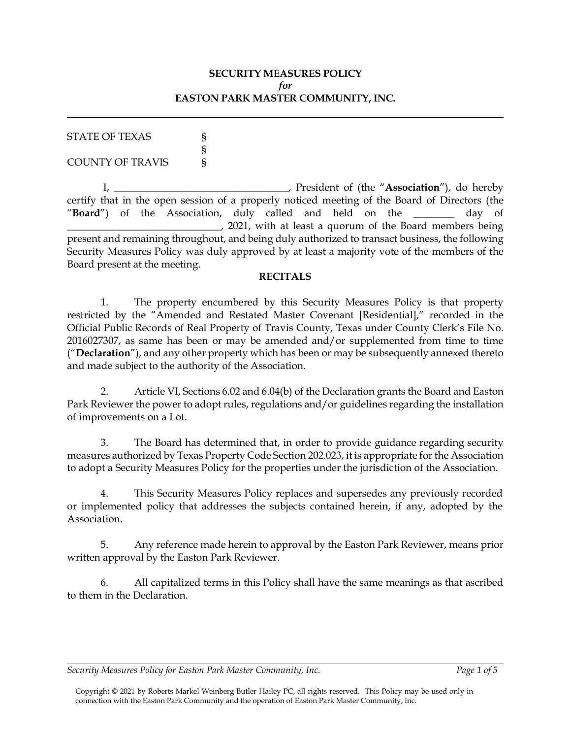## **SECURITY MEASURES POLICY** *for* **EASTON PARK MASTER COMMUNITY, INC.**

| <b>STATE OF TEXAS</b>   |  |
|-------------------------|--|
|                         |  |
| <b>COUNTY OF TRAVIS</b> |  |

I, \_\_\_\_\_\_\_\_\_\_\_\_\_\_\_\_\_\_\_\_\_\_\_\_\_\_\_\_\_\_\_\_\_\_, President of (the "**Association**"), do hereby certify that in the open session of a properly noticed meeting of the Board of Directors (the "**Board**") of the Association, duly called and held on the \_\_\_\_\_\_\_\_ day of \_\_\_\_\_\_\_\_\_\_\_\_\_\_\_\_\_\_\_\_\_\_\_\_\_\_\_\_\_\_, 2021, with at least a quorum of the Board members being present and remaining throughout, and being duly authorized to transact business, the following Security Measures Policy was duly approved by at least a majority vote of the members of the Board present at the meeting.

## **RECITALS**

1. The property encumbered by this Security Measures Policy is that property restricted by the "Amended and Restated Master Covenant [Residential]," recorded in the Official Public Records of Real Property of Travis County, Texas under County Clerk's File No. 2016027307, as same has been or may be amended and/or supplemented from time to time ("**Declaration**"), and any other property which has been or may be subsequently annexed thereto and made subject to the authority of the Association.

2. Article VI, Sections 6.02 and 6.04(b) of the Declaration grants the Board and Easton Park Reviewer the power to adopt rules, regulations and/or guidelines regarding the installation of improvements on a Lot.

3. The Board has determined that, in order to provide guidance regarding security measures authorized by Texas Property Code Section 202.023, it is appropriate for the Association to adopt a Security Measures Policy for the properties under the jurisdiction of the Association.

4. This Security Measures Policy replaces and supersedes any previously recorded or implemented policy that addresses the subjects contained herein, if any, adopted by the Association.

5. Any reference made herein to approval by the Easton Park Reviewer, means prior written approval by the Easton Park Reviewer.

6. All capitalized terms in this Policy shall have the same meanings as that ascribed to them in the Declaration.

#### *Security Measures Policy for Easton Park Master Community, Inc. Page 1 of 5*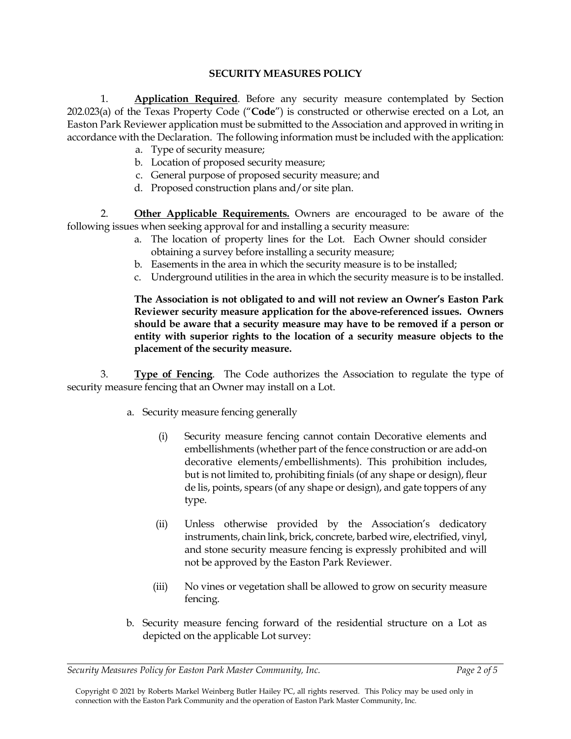## **SECURITY MEASURES POLICY**

1. **Application Required**. Before any security measure contemplated by Section 202.023(a) of the Texas Property Code ("**Code**") is constructed or otherwise erected on a Lot, an Easton Park Reviewer application must be submitted to the Association and approved in writing in accordance with the Declaration. The following information must be included with the application:

- a. Type of security measure;
- b. Location of proposed security measure;
- c. General purpose of proposed security measure; and
- d. Proposed construction plans and/or site plan.

2. **Other Applicable Requirements.** Owners are encouraged to be aware of the following issues when seeking approval for and installing a security measure:

- a. The location of property lines for the Lot. Each Owner should consider obtaining a survey before installing a security measure;
- b. Easements in the area in which the security measure is to be installed;
- c. Underground utilities in the area in which the security measure is to be installed.

**The Association is not obligated to and will not review an Owner's Easton Park Reviewer security measure application for the above-referenced issues. Owners should be aware that a security measure may have to be removed if a person or entity with superior rights to the location of a security measure objects to the placement of the security measure.**

3. **Type of Fencing**. The Code authorizes the Association to regulate the type of security measure fencing that an Owner may install on a Lot.

- a. Security measure fencing generally
	- (i) Security measure fencing cannot contain Decorative elements and embellishments (whether part of the fence construction or are add-on decorative elements/embellishments). This prohibition includes, but is not limited to, prohibiting finials (of any shape or design), fleur de lis, points, spears (of any shape or design), and gate toppers of any type.
	- (ii) Unless otherwise provided by the Association's dedicatory instruments, chain link, brick, concrete, barbed wire, electrified, vinyl, and stone security measure fencing is expressly prohibited and will not be approved by the Easton Park Reviewer.
	- (iii) No vines or vegetation shall be allowed to grow on security measure fencing.
- b. Security measure fencing forward of the residential structure on a Lot as depicted on the applicable Lot survey:

*Security Measures Policy for Easton Park Master Community, Inc. Page 2 of 5*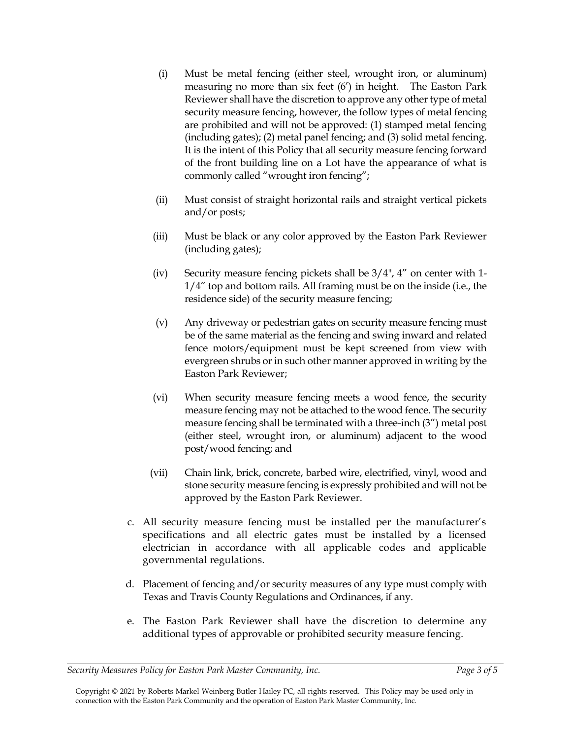- (i) Must be metal fencing (either steel, wrought iron, or aluminum) measuring no more than six feet (6') in height. The Easton Park Reviewer shall have the discretion to approve any other type of metal security measure fencing, however, the follow types of metal fencing are prohibited and will not be approved: (1) stamped metal fencing (including gates); (2) metal panel fencing; and (3) solid metal fencing. It is the intent of this Policy that all security measure fencing forward of the front building line on a Lot have the appearance of what is commonly called "wrought iron fencing";
- (ii) Must consist of straight horizontal rails and straight vertical pickets and/or posts;
- (iii) Must be black or any color approved by the Easton Park Reviewer (including gates);
- (iv) Security measure fencing pickets shall be 3/4", 4" on center with 1- 1/4" top and bottom rails. All framing must be on the inside (i.e., the residence side) of the security measure fencing;
- (v) Any driveway or pedestrian gates on security measure fencing must be of the same material as the fencing and swing inward and related fence motors/equipment must be kept screened from view with evergreen shrubs or in such other manner approved in writing by the Easton Park Reviewer;
- (vi) When security measure fencing meets a wood fence, the security measure fencing may not be attached to the wood fence. The security measure fencing shall be terminated with a three-inch (3") metal post (either steel, wrought iron, or aluminum) adjacent to the wood post/wood fencing; and
- (vii) Chain link, brick, concrete, barbed wire, electrified, vinyl, wood and stone security measure fencing is expressly prohibited and will not be approved by the Easton Park Reviewer.
- c. All security measure fencing must be installed per the manufacturer's specifications and all electric gates must be installed by a licensed electrician in accordance with all applicable codes and applicable governmental regulations.
- d. Placement of fencing and/or security measures of any type must comply with Texas and Travis County Regulations and Ordinances, if any.
- e. The Easton Park Reviewer shall have the discretion to determine any additional types of approvable or prohibited security measure fencing.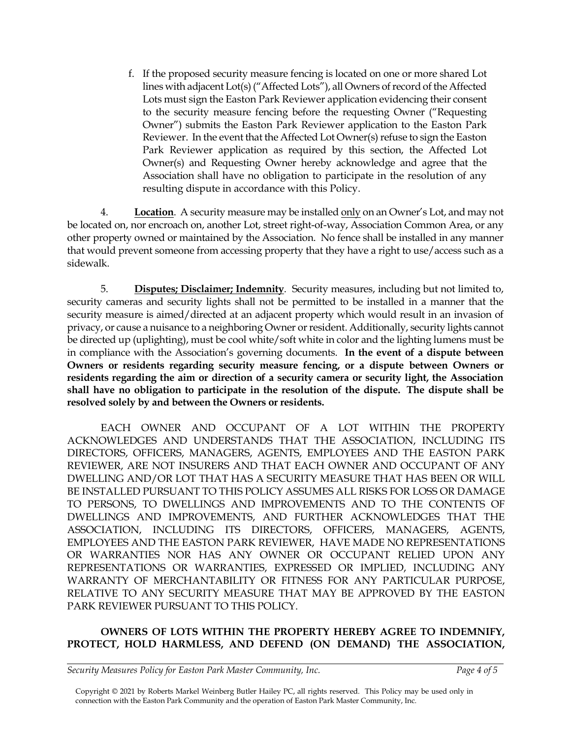f. If the proposed security measure fencing is located on one or more shared Lot lines with adjacent Lot(s) ("Affected Lots"), all Owners of record of the Affected Lots must sign the Easton Park Reviewer application evidencing their consent to the security measure fencing before the requesting Owner ("Requesting Owner") submits the Easton Park Reviewer application to the Easton Park Reviewer. In the event that the Affected Lot Owner(s) refuse to sign the Easton Park Reviewer application as required by this section, the Affected Lot Owner(s) and Requesting Owner hereby acknowledge and agree that the Association shall have no obligation to participate in the resolution of any resulting dispute in accordance with this Policy.

4. **Location**. A security measure may be installed only on an Owner's Lot, and may not be located on, nor encroach on, another Lot, street right-of-way, Association Common Area, or any other property owned or maintained by the Association. No fence shall be installed in any manner that would prevent someone from accessing property that they have a right to use/access such as a sidewalk.

5. **Disputes; Disclaimer; Indemnity**. Security measures, including but not limited to, security cameras and security lights shall not be permitted to be installed in a manner that the security measure is aimed/directed at an adjacent property which would result in an invasion of privacy, or cause a nuisance to a neighboring Owner or resident. Additionally, security lights cannot be directed up (uplighting), must be cool white/soft white in color and the lighting lumens must be in compliance with the Association's governing documents. **In the event of a dispute between Owners or residents regarding security measure fencing, or a dispute between Owners or residents regarding the aim or direction of a security camera or security light, the Association shall have no obligation to participate in the resolution of the dispute. The dispute shall be resolved solely by and between the Owners or residents.**

EACH OWNER AND OCCUPANT OF A LOT WITHIN THE PROPERTY ACKNOWLEDGES AND UNDERSTANDS THAT THE ASSOCIATION, INCLUDING ITS DIRECTORS, OFFICERS, MANAGERS, AGENTS, EMPLOYEES AND THE EASTON PARK REVIEWER, ARE NOT INSURERS AND THAT EACH OWNER AND OCCUPANT OF ANY DWELLING AND/OR LOT THAT HAS A SECURITY MEASURE THAT HAS BEEN OR WILL BE INSTALLED PURSUANT TO THIS POLICY ASSUMES ALL RISKS FOR LOSS OR DAMAGE TO PERSONS, TO DWELLINGS AND IMPROVEMENTS AND TO THE CONTENTS OF DWELLINGS AND IMPROVEMENTS, AND FURTHER ACKNOWLEDGES THAT THE ASSOCIATION, INCLUDING ITS DIRECTORS, OFFICERS, MANAGERS, AGENTS, EMPLOYEES AND THE EASTON PARK REVIEWER, HAVE MADE NO REPRESENTATIONS OR WARRANTIES NOR HAS ANY OWNER OR OCCUPANT RELIED UPON ANY REPRESENTATIONS OR WARRANTIES, EXPRESSED OR IMPLIED, INCLUDING ANY WARRANTY OF MERCHANTABILITY OR FITNESS FOR ANY PARTICULAR PURPOSE, RELATIVE TO ANY SECURITY MEASURE THAT MAY BE APPROVED BY THE EASTON PARK REVIEWER PURSUANT TO THIS POLICY.

# **OWNERS OF LOTS WITHIN THE PROPERTY HEREBY AGREE TO INDEMNIFY, PROTECT, HOLD HARMLESS, AND DEFEND (ON DEMAND) THE ASSOCIATION,**

*Security Measures Policy for Easton Park Master Community, Inc. Page 4 of 5*